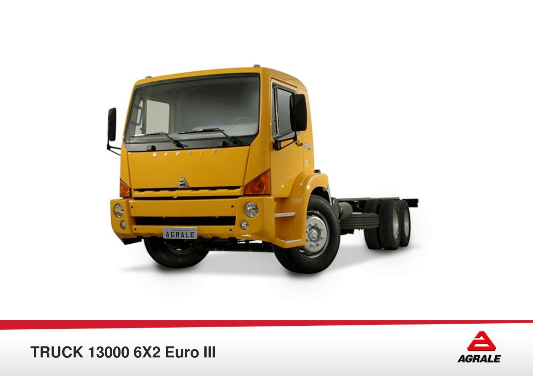